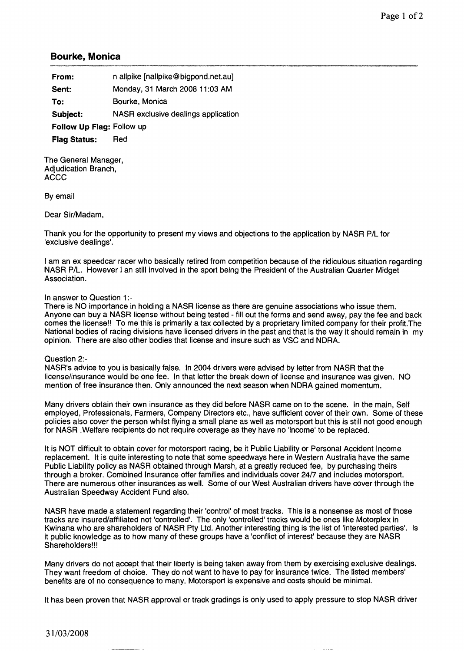## **Bourke, Monica**

| From:                     | n allpike [nallpike@bigpond.net.au] |
|---------------------------|-------------------------------------|
| Sent:                     | Monday, 31 March 2008 11:03 AM      |
| To:                       | Bourke, Monica                      |
| Subject:                  | NASR exclusive dealings application |
| Follow Up Flag: Follow up |                                     |
| <b>Flag Status:</b>       | Red                                 |

The General Manager, Adjudication Branch, ACCC

By email

Dear Sir/Madam,

Thank you for the opportunity to present my views and objections to the application by NASR P/L for 'exclusive dealings'.

I am an ex speedcar racer who basically retired from competition because of the ridiculous situation regarding NASR P/L. However I an still involved in the sport being the President of the Australian Quarter Midget Association.

## In answer to Question 1:-

There is NO importance in holding a NASR license as there are genuine associations who issue them. Anyone can buy a NASR license without being tested - fill out the forms and send away, pay the fee and back comes the license!! To me this is primarily a tax collected by a proprietary limited company for their profit.The National bodies of racing divisions have licensed drivers in the past and that is the way it should remain in my opinion. There are also other bodies that license and insure such as VSC and NDRA.

## Question 2:-

NASR's advice to you is basically false. In 2004 drivers were advised by letter from NASR that the license/insurance would be one fee. In that letter the break down of license and insurance was given. NO mention of free insurance then. Only announced the next season when NDRA gained momentum.

Many drivers obtain their own insurance as they did before NASR came on to the scene. In the main, Self employed, Professionals, Farmers, Company Directors etc., have sufficient cover of their own. Some of these policies also cover the person whilst flying a small plane as well as motorsport but this is still not good enough for NASR .Welfare recipients do not require coverage as they have no 'income' to be replaced.

It is NOT difficult to obtain cover for motorsport racing, be it Public Liability or Personal Accident Income replacement. It is quite interesting to note that some speedways here in Western Australia have the same Public Liability policy as NASR obtained through Marsh, at a greatly reduced fee, by purchasing theirs through a broker. Combined Insurance offer families and individuals cover 2417 and includes motorsport. There are numerous other insurances as well. Some of our West Australian drivers have cover through the Australian Speedway Accident Fund also.

NASR have made a statement regarding their 'control' of most tracks. This is a nonsense as most of those tracks are insured/affiliated not 'controlled'. The only 'controlled' tracks would be ones like Motorplex in Kwinana who are shareholders of NASR Pty Ltd. Another interesting thing is the list of 'interested parties'. Is it public knowledge as to how many of these groups have a 'conflict of interest' because they are NASR Shareholders!!!

Many drivers do not accept that their liberty is being taken away from them by exercising exclusive dealings. They want freedom of choice. They do not want to have to pay for insurance twice. The listed members' benefits are of no consequence to many. Motorsport is expensive and costs should be minimal.

It has been proven that NASR approval or track gradings is only used to apply pressure to stop NASR driver